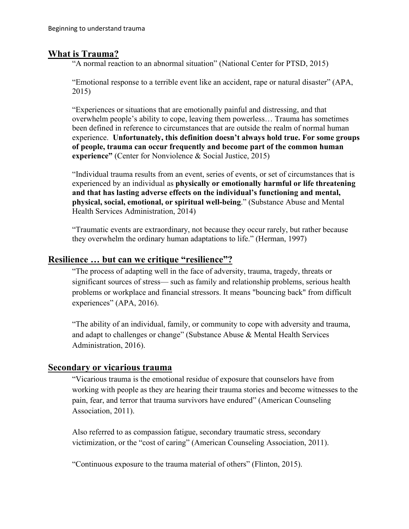### **What is Trauma?**

"A normal reaction to an abnormal situation" (National Center for PTSD, 2015)

"Emotional response to a terrible event like an accident, rape or natural disaster" (APA, 2015)

"Experiences or situations that are emotionally painful and distressing, and that overwhelm people's ability to cope, leaving them powerless… Trauma has sometimes been defined in reference to circumstances that are outside the realm of normal human experience. **Unfortunately, this definition doesn't always hold true. For some groups of people, trauma can occur frequently and become part of the common human experience"** (Center for Nonviolence & Social Justice, 2015)

"Individual trauma results from an event, series of events, or set of circumstances that is experienced by an individual as **physically or emotionally harmful or life threatening and that has lasting adverse effects on the individual's functioning and mental, physical, social, emotional, or spiritual well-being**." (Substance Abuse and Mental Health Services Administration, 2014)

"Traumatic events are extraordinary, not because they occur rarely, but rather because they overwhelm the ordinary human adaptations to life." (Herman, 1997)

### **Resilience … but can we critique "resilience"?**

"The process of adapting well in the face of adversity, trauma, tragedy, threats or significant sources of stress— such as family and relationship problems, serious health problems or workplace and financial stressors. It means "bouncing back" from difficult experiences" (APA, 2016).

"The ability of an individual, family, or community to cope with adversity and trauma, and adapt to challenges or change" (Substance Abuse & Mental Health Services Administration, 2016).

#### **Secondary or vicarious trauma**

"Vicarious trauma is the emotional residue of exposure that counselors have from working with people as they are hearing their trauma stories and become witnesses to the pain, fear, and terror that trauma survivors have endured" (American Counseling Association, 2011).

Also referred to as compassion fatigue, secondary traumatic stress, secondary victimization, or the "cost of caring" (American Counseling Association, 2011).

"Continuous exposure to the trauma material of others" (Flinton, 2015).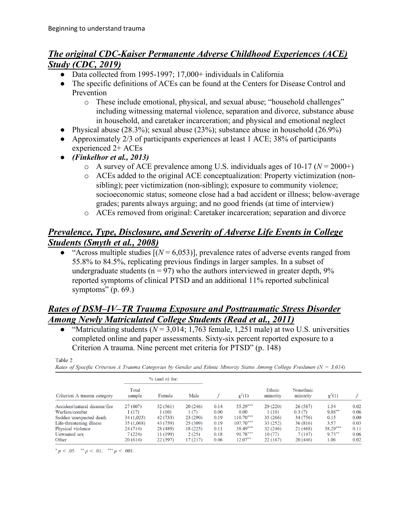# *The original CDC-Kaiser Permanente Adverse Childhood Experiences (ACE) Study (CDC, 2019)*

- Data collected from 1995-1997; 17,000+ individuals in California
- The specific definitions of ACEs can be found at the Centers for Disease Control and Prevention
	- o These include emotional, physical, and sexual abuse; "household challenges" including witnessing maternal violence, separation and divorce, substance abuse in household, and caretaker incarceration; and physical and emotional neglect
- Physical abuse  $(28.3\%)$ ; sexual abuse  $(23\%)$ ; substance abuse in household  $(26.9\%)$
- Approximately 2/3 of participants experiences at least 1 ACE; 38% of participants experienced 2+ ACEs
- *(Finkelhor et al., 2013)* 
	- $\circ$  A survey of ACE prevalence among U.S. individuals ages of 10-17 ( $N = 2000+$ )
	- o ACEs added to the original ACE conceptualization: Property victimization (nonsibling); peer victimization (non-sibling); exposure to community violence; socioeconomic status; someone close had a bad accident or illness; below-average grades; parents always arguing; and no good friends (at time of interview)
	- o ACEs removed from original: Caretaker incarceration; separation and divorce

# *Prevalence, Type, Disclosure, and Severity of Adverse Life Events in College Students (Smyth et al., 2008)*

• "Across multiple studies  $[(N = 6, 0.053)]$ , prevalence rates of adverse events ranged from 55.8% to 84.5%, replicating previous findings in larger samples. In a subset of undergraduate students ( $n = 97$ ) who the authors interviewed in greater depth,  $9\%$ reported symptoms of clinical PTSD and an additional 11% reported subclinical symptoms"  $(p. 69.)$ 

## *Rates of DSM–IV–TR Trauma Exposure and Posttraumatic Stress Disorder Among Newly Matriculated College Students (Read et al., 2011)*

• "Matriculating students  $(N = 3.014; 1.763$  female, 1,251 male) at two U.S. universities completed online and paper assessments. Sixty-six percent reported exposure to a Criterion A trauma. Nine percent met criteria for PTSD" (p. 148)

| -- | ٠ |  |
|----|---|--|

Rates of Specific Criterion A Trauma Categories by Gender and Ethnic Minority Status Among College Freshmen ( $N = 3,014$ )

| Criterion A trauma category    |                 | $%$ (and <i>n</i> ) for: |          |      | $\chi^2(1)$ | Ethnic<br>minority | Nonethnic<br>minority | $\chi^2(1)$ |      |
|--------------------------------|-----------------|--------------------------|----------|------|-------------|--------------------|-----------------------|-------------|------|
|                                | Total<br>sample | Female                   | Male     |      |             |                    |                       |             |      |
| Accident/natural disaster/fire | 27 (807)        | 32(561)                  | 20(246)  | 0.14 | $55.29***$  | 29(220)            | 26 (587)              | 1.54        | 0.02 |
| Warfare/combat                 | 1(17)           | 1(10)                    | 1(7)     | 0.00 | 0.00        | 1(10)              | 0.3(7)                | $9.88***$   | 0.06 |
| Sudden unexpected death        | 34(1,023)       | 42 (733)                 | 23(290)  | 0.19 | $110.70***$ | 35(266)            | 34 (756)              | 0.15        | 0.00 |
| Life-threatening illness       | 35 (1,068)      | 43 (759)                 | 25(309)  | 0.19 | $107.70***$ | 33 (252)           | 36(816)               | 3.57        | 0.03 |
| Physical violence              | 24(714)         | 28 (489)                 | 18 (225) | 0.11 | $38.49***$  | 32(246)            | 21 (468)              | $38.29***$  | 0.11 |
| Unwanted sex                   | 7 (224)         | 11 (199)                 | 2(25)    | 0.18 | $91.78***$  | 10(77)             | 7(147)                | $9.73***$   | 0.06 |
| Other                          | 20(614)         | 22(397)                  | 17(217)  | 0.06 | $12.07**$   | 22(167)            | 20(446)               | 1.06        | 0.02 |

\*  $p < .05$ . \*\*  $p < .01$ . \*\*\*  $p < .001$ .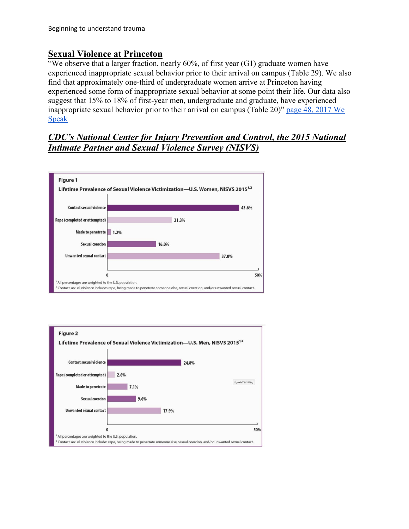### **Sexual Violence at Princeton**

"We observe that a larger fraction, nearly  $60\%$ , of first year  $(G1)$  graduate women have experienced inappropriate sexual behavior prior to their arrival on campus (Table 29). We also find that approximately one-third of undergraduate women arrive at Princeton having experienced some form of inappropriate sexual behavior at some point their life. Our data also suggest that 15% to 18% of first-year men, undergraduate and graduate, have experienced inappropriate sexual behavior prior to their arrival on campus (Table 20)" [page 48, 2017 We](https://sexualmisconduct.princeton.edu/sites/sexualmisconduct/files/wespeak2017.pdf)  [Speak](https://sexualmisconduct.princeton.edu/sites/sexualmisconduct/files/wespeak2017.pdf)

### *CDC's National Center for Injury Prevention and Control, the 2015 National Intimate Partner and Sexual Violence Survey (NISVS)*